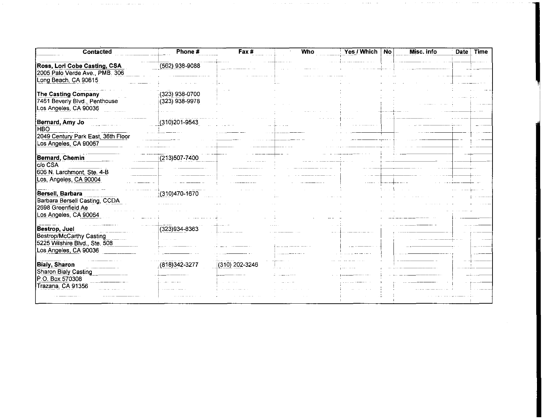| Contacted                          | Phone #          | Fax #          | Who | Yes / Which | No | Misc. info | <b>Date</b> | <b>Time</b> |
|------------------------------------|------------------|----------------|-----|-------------|----|------------|-------------|-------------|
| Ross, Lori Cobe Casting, CSA       | $(562)$ 938-9088 |                |     |             |    |            |             |             |
| 2005 Palo Verde Ave., PMB. 306     |                  |                |     |             |    |            |             |             |
| Long Beach, CA 90815               |                  |                |     |             |    |            |             |             |
| The Casting Company                | $(323)$ 938-0700 |                |     |             |    |            |             |             |
| 7461 Beverly Blvd., Penthouse      | $(323)$ 938-9978 |                |     |             |    |            |             |             |
| Los Angeles, CA 90036              |                  |                |     |             |    |            |             |             |
| Bernard, Amy Jo                    | (310)201-9543    |                |     |             |    |            |             |             |
| <b>HBO</b>                         |                  |                |     |             |    |            |             |             |
| 2049 Century Park East, 36th Floor |                  |                |     |             |    |            |             |             |
| Los Angeles, CA 90067              |                  |                |     |             |    |            |             |             |
| Bernard, Chemin                    | (213)507-7400    |                |     |             |    |            |             |             |
| C/o CSA                            |                  |                |     |             |    |            |             |             |
| 606 N. Larchmont, Ste. 4-B         |                  |                |     |             |    |            |             |             |
| Los, Angeles, CA 90004             |                  |                |     |             |    |            |             |             |
| Bersell, Barbara                   | (310)470-1670    |                |     |             |    |            |             |             |
| Barbara Bersell Casting, CCDA      |                  |                |     |             |    |            |             |             |
| 2698 Greenfield Ae                 |                  |                |     |             |    |            |             |             |
| Los Angeles, CA 90064              |                  |                |     |             |    |            |             |             |
|                                    |                  |                |     |             |    |            |             |             |
| Bestrop, Juel                      | (323)934-8363    |                |     |             |    |            |             |             |
| <b>Bestrop/McCarthy Casting</b>    |                  |                |     |             |    |            |             |             |
| 5225 Wilshire Blvd., Ste. 508      |                  |                |     |             |    |            |             |             |
| Los Angeles, CA 90036              |                  |                |     |             |    |            |             |             |
| <b>Bialy, Sharon</b>               | $(818)342-3277$  | (310) 202-3246 |     |             |    |            |             |             |
| Sharon Bialy Casting               |                  |                |     |             |    |            |             |             |
| P.O. Box 570308                    |                  |                |     |             |    |            |             |             |
| Trazana, CA 91356                  |                  |                |     |             |    |            |             |             |
|                                    |                  |                |     |             |    |            |             |             |
|                                    |                  |                |     |             |    |            |             |             |

in the component and the component of the component of the component of the component of the component of the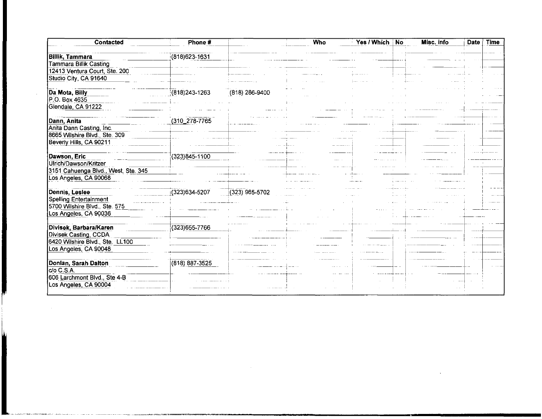| Contacted                           | Phone #           |                  | Who | Yes / Which | No | Misc. info | Date | Time |
|-------------------------------------|-------------------|------------------|-----|-------------|----|------------|------|------|
| <b>Billik, Tammara</b>              | $(818)623 - 1631$ |                  |     |             |    |            |      |      |
| <b>Tammara Billik Casting</b>       |                   |                  |     |             |    |            |      |      |
| 12413 Ventura Court, Ste. 200       |                   |                  |     |             |    |            |      |      |
| Studio City, CA 91640               |                   |                  |     |             |    |            |      |      |
| Da Mota, Billy                      | $(818)243 - 1263$ | $(818)$ 286-9400 |     |             |    |            |      |      |
| P.O. Box 4635                       |                   |                  |     |             |    |            |      |      |
| Glendale, CA 91222                  |                   |                  |     |             |    |            |      |      |
| Dann, Anita                         | (310_278-7765     |                  |     |             |    |            |      |      |
| Anita Dann Casting, Inc.            |                   |                  |     |             |    |            |      |      |
| 8665 Wilshire Blvd., Ste. 309       |                   |                  |     |             |    |            |      |      |
| Beverly Hills, CA 90211             |                   |                  |     |             |    |            |      |      |
|                                     |                   |                  |     |             |    |            |      |      |
| Dawson, Eric                        | $(323)845 - 1100$ |                  |     |             |    |            |      |      |
| Ulrich/Dawson/Kritzer               |                   |                  |     |             |    |            |      |      |
| 3151 Cahuenga Blvd., West, Ste. 345 |                   |                  |     |             |    |            |      |      |
| Los Angeles, CA 90068               |                   |                  |     |             |    |            |      |      |
|                                     |                   |                  |     |             |    |            |      |      |
| Dennis, Leslee                      | $(323)634 - 5207$ | (323) 965-5702   |     |             |    |            |      |      |
| Spelling Entertainment              |                   |                  |     |             |    |            |      |      |
| 5700 Wilshire Blvd., Ste. 575       |                   |                  |     |             |    |            |      |      |
| Los Angeles, CA 90036               |                   |                  |     |             |    |            |      |      |
|                                     |                   |                  |     |             |    |            |      |      |
| Divisek, Barbara/Karen              | (323) 655-7766    |                  |     |             |    |            |      |      |
| Divisek Casting, CCDA               |                   |                  |     |             |    |            |      |      |
| 6420 Wilshire Blvd., Ste. LL100     |                   |                  |     |             |    |            |      |      |
| Los Angeles, CA 90048               |                   |                  |     |             |    |            |      |      |
|                                     |                   |                  |     |             |    |            |      |      |
| Donlan, Sarah Dalton                | (818) 887-3525    |                  |     |             |    |            |      |      |
|                                     |                   |                  |     |             |    |            |      |      |
| do C.S.A.                           |                   |                  |     |             |    |            |      |      |
| 606 Larchmont Blvd., Ste 4-B        |                   |                  |     |             |    |            |      |      |
| Los Angeles, CA 90004               |                   |                  |     |             |    |            |      |      |
|                                     |                   |                  |     |             |    |            |      |      |

 $\mathcal{L}(\mathcal{L}^{\mathcal{L}})$  and  $\mathcal{L}^{\mathcal{L}}$  and  $\mathcal{L}^{\mathcal{L}}$  and  $\mathcal{L}^{\mathcal{L}}$ 

 $\mathcal{L}(\mathcal{L}^{\text{max}})$  . The  $\mathcal{L}^{\text{max}}$ 

 $\sim$ 

 $\sim 10^{-10}$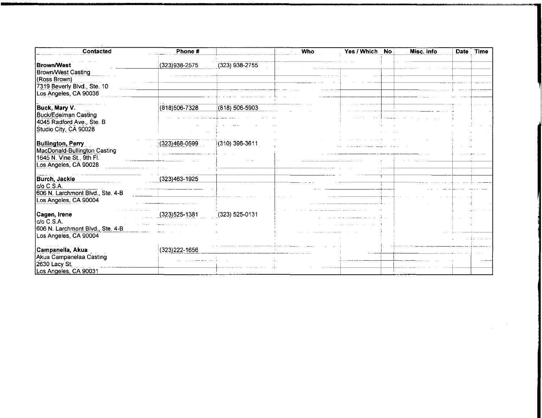| <b>Brown/West</b><br>Brown/West Casting        | (323)938-2575     |                  |  |  | Time |
|------------------------------------------------|-------------------|------------------|--|--|------|
|                                                |                   | $(323)$ 938-2755 |  |  |      |
|                                                |                   |                  |  |  |      |
| (Ross Brown)                                   |                   |                  |  |  |      |
| 7319 Beverly Blvd., Ste. 10                    |                   |                  |  |  |      |
| Los Angeles, CA 90036                          |                   |                  |  |  |      |
| Buck, Mary V.                                  | (818)506-7328     | (818) 506-5903   |  |  |      |
| Buck/Edelman Casting                           |                   |                  |  |  |      |
| 4045 Radford Ave. Ste B                        |                   |                  |  |  |      |
| Studio City, CA 90028                          |                   |                  |  |  |      |
|                                                |                   |                  |  |  |      |
| <b>Bullington, Perry</b>                       | (323)468-0599     | (310) 396-3611   |  |  |      |
| MacDonald-Bullington Casting                   |                   |                  |  |  |      |
| 1645 N. Vine St. 9th Fl.                       |                   |                  |  |  |      |
| Los Angeles, CA 90028                          |                   |                  |  |  |      |
|                                                | (323)463-1925     |                  |  |  |      |
| Burch, Jackie                                  |                   |                  |  |  |      |
| c/o C.S.A.<br>606 N. Larchmont Blvd., Ste. 4-B |                   |                  |  |  |      |
|                                                |                   |                  |  |  |      |
| Los Angeles, CA 90004                          |                   |                  |  |  |      |
| Cagen, Irene                                   | $(323)525 - 1381$ | (323) 525-0131   |  |  |      |
| ¦c/o C.S.A.                                    |                   |                  |  |  |      |
| 606 N. Larchmont Blvd., Ste. 4-B               |                   |                  |  |  |      |
| Los Angeles, CA 90004                          |                   |                  |  |  |      |
| <b>Campanella, Akua</b>                        | (323) 222-1656    |                  |  |  |      |
| Akua Campanelaa Casting                        |                   |                  |  |  |      |
| 2630 Lacy St.                                  |                   |                  |  |  |      |
| Los Angeles, CA 90031                          |                   |                  |  |  |      |

 $\label{eq:2} \frac{1}{2}\int_{\mathbb{R}^3} \frac{1}{\sqrt{2\pi}} \int_{\mathbb{R}^3} \frac{1}{\sqrt{2\pi}} \frac{1}{\sqrt{2\pi}} \frac{1}{\sqrt{2\pi}} \frac{1}{\sqrt{2\pi}} \frac{1}{\sqrt{2\pi}} \frac{1}{\sqrt{2\pi}} \frac{1}{\sqrt{2\pi}} \frac{1}{\sqrt{2\pi}} \frac{1}{\sqrt{2\pi}} \frac{1}{\sqrt{2\pi}} \frac{1}{\sqrt{2\pi}} \frac{1}{\sqrt{2\pi}} \frac{1}{\sqrt{2\pi}} \frac{1}{\sqrt{2\pi}} \frac{$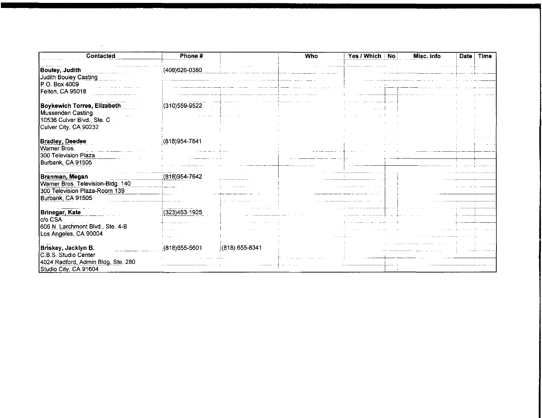| Contacted                                                                                                      | Phone #           |                | <b>Who</b> | Yes / Which   No | Misc. info | <b>Date</b> | <b>Time</b> |
|----------------------------------------------------------------------------------------------------------------|-------------------|----------------|------------|------------------|------------|-------------|-------------|
| <b>Bouley, Judith</b><br>Judith Bouley Casting                                                                 | (408) 626-0380    |                |            |                  |            |             |             |
| P.O. Box 4009<br>Felton, CA 95018                                                                              |                   |                |            |                  |            |             |             |
| <b>Boykewich Torres, Elizabeth</b><br>Mussenden Casting<br>10536 Culver Blvd., Ste. C<br>Culver City, CA 90232 | (310) 559-9522    |                |            |                  |            |             |             |
| <b>Bradley, Deedee</b><br>Warner Bros.<br>300 Television Plaza<br>Burbank, CA 91505                            | (818)954-7841     |                |            |                  |            |             |             |
| Branman, Megan<br>Warner Bros. Television-Bldg. 140<br>300 Television Plaza-Room 139<br>Burbank, CA 91505      | (818) 954-7642    |                |            |                  |            |             |             |
| Brinegar, Kate<br>c/o CSA<br>606 N. Larchmont Blvd., Ste. 4-B<br>Los Angeles, CA 90004                         | (323)463-1925     |                |            |                  |            |             |             |
| Briskey, Jacklyn B.<br>C.B.S. Studio Center<br>4024 Radford, Admin Bldg, Ste. 280<br>Studio City, CA 91604     | $(818)655 - 5601$ | (818) 655-8341 |            |                  |            |             |             |

 $\mathcal{L}(\mathcal{L}^{\mathcal{L}})$  . The contract of  $\mathcal{L}(\mathcal{L}^{\mathcal{L}})$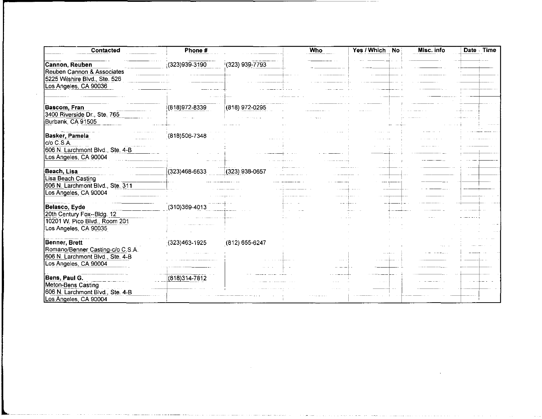| <b>Contacted</b>                                                                                               | Phone #           |                    | <b>Who</b> | Yes / Which<br><b>No</b> | Misc. info | Date Time |
|----------------------------------------------------------------------------------------------------------------|-------------------|--------------------|------------|--------------------------|------------|-----------|
| Cannon, Reuben<br>Reuben Cannon & Associates<br>5225 Wilshire Blvd., Ste. 526<br>Los Angeles, CA 90036         | (323)939-3190     | (323) 939-7793     |            |                          |            |           |
| <b>Bascom, Fran</b><br>3400 Riverside Dr., Ste. 765<br>Burbank, CA 91505                                       | (818) 972-8339    | (818) 972-0295     |            |                          |            |           |
| Basker, Pamela<br>c/o C.S.A.<br>606 N. Larchmont Blvd., Ste. 4-B<br>Los Angeles, CA 90004                      | (818) 506-7348    |                    |            |                          |            |           |
| Beach, Lisa<br>Lisa Beach Casting<br>606 N. Larchmont Blvd., Ste. 311<br>Los Angeles, CA 90004                 | $(323)468 - 6633$ | (323) 938-0657     |            |                          |            |           |
| Belasco, Eyde<br>20th Century Fox--Bldg. 12<br>10201 W. Pico Blvd., Room 201<br>Los Angeles, CA 90035          | (310)369-4013     |                    |            |                          |            |           |
| Benner, Brett<br>Romano/Benner Casting-c/o C.S.A.<br>606 N. Larchmont Blvd., Ste. 4-B<br>Los Angeles, CA 90004 | $(323)463 - 1925$ | $(812) 655 - 6247$ |            |                          |            |           |
| Bens, Paul G.<br>Meton-Bens Casting<br>606 N. Larchmont Blvd., Ste. 4-B<br>Los Angeles, CA 90004               | $(818)314 - 7812$ |                    |            |                          |            |           |

 $\mathcal{L}^{\text{max}}_{\text{max}}$ 

مددا المفر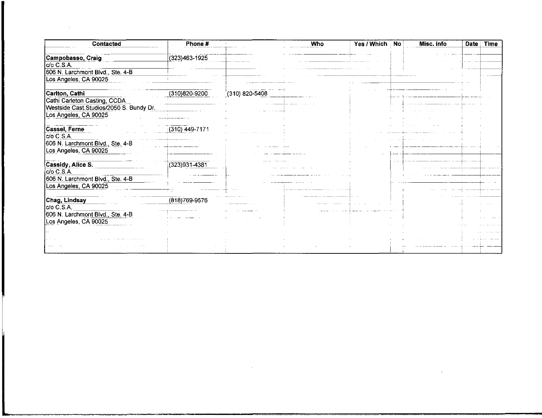| <b>Contacted</b>                        | Phone #           |                    | Who | Yes / Which | <b>No</b> | Misc. info | <b>Date</b> | <b>Time</b> |
|-----------------------------------------|-------------------|--------------------|-----|-------------|-----------|------------|-------------|-------------|
| Campobasso, Craig                       | (323)463-1925     |                    |     |             |           |            |             |             |
| c/o C.S.A.                              |                   |                    |     |             |           |            |             |             |
| 606 N. Larchmont Blvd., Ste. 4-B        |                   |                    |     |             |           |            |             |             |
| Los Angeles, CA 90025                   |                   |                    |     |             |           |            |             |             |
| Carlton, Cathi                          | $(310)820 - 9200$ | $(310) 820 - 5408$ |     |             |           |            |             |             |
| Cathi Carleton Casting, CCDA            |                   |                    |     |             |           |            |             |             |
| Westside Cast.Studios/2050 S. Bundy Dr. |                   |                    |     |             |           |            |             |             |
| Los Angeles, CA 90025                   |                   |                    |     |             |           |            |             |             |
| Cassel, Ferne                           | (310) 449-7171    |                    |     |             |           |            |             |             |
| $c$ <sub>o</sub> $c$ <sub>s</sub> $A$   |                   |                    |     |             |           |            |             |             |
| 606 N. Larchmont Blvd., Ste. 4-B        |                   |                    |     |             |           |            |             |             |
| Los Angeles, CA 90025                   |                   |                    |     |             |           |            |             |             |
| Cassidy, Alice S.                       | $(323)931 - 4381$ |                    |     |             |           |            |             |             |
| c/o C.S.A.                              |                   |                    |     |             |           |            |             |             |
| 606 N. Larchmont Blvd., Ste. 4-B        |                   |                    |     |             |           |            |             |             |
| Los Angeles, CA 90025                   |                   |                    |     |             |           |            |             |             |
| Chag, Lindsay                           | (818) 769-9576    |                    |     |             |           |            |             |             |
| c/o C.S.A.                              |                   |                    |     |             |           |            |             |             |
| 606 N. Larchmont Blvd., Ste. 4-B        |                   |                    |     |             |           |            |             |             |
| Los Angeles, CA 90025                   |                   |                    |     |             |           |            |             |             |
|                                         |                   |                    |     |             |           |            |             |             |
|                                         |                   |                    |     |             |           |            |             |             |
|                                         |                   |                    |     |             |           |            |             |             |

 $\label{eq:2.1} \frac{1}{\sqrt{2}}\int_{\mathbb{R}^3}\frac{1}{\sqrt{2}}\left(\frac{1}{\sqrt{2}}\right)^2\frac{1}{\sqrt{2}}\left(\frac{1}{\sqrt{2}}\right)^2\frac{1}{\sqrt{2}}\left(\frac{1}{\sqrt{2}}\right)^2\frac{1}{\sqrt{2}}\left(\frac{1}{\sqrt{2}}\right)^2.$ 

 $\mathcal{L}(\mathcal{L}^{\mathcal{L}})$  and  $\mathcal{L}(\mathcal{L}^{\mathcal{L}})$  and  $\mathcal{L}(\mathcal{L}^{\mathcal{L}})$  and  $\mathcal{L}(\mathcal{L}^{\mathcal{L}})$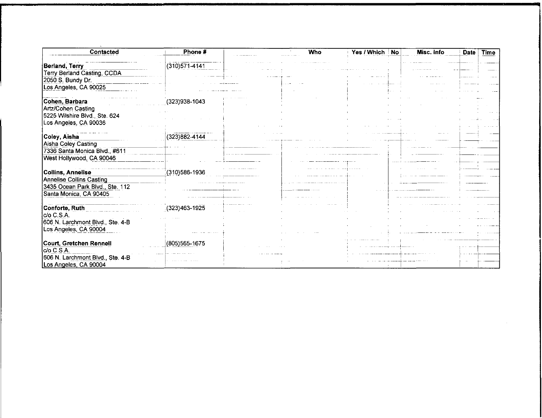| Contacted                        | Phone #           | Who | Yes / Which No | Misc. info | <b>Date</b> | <b>Time</b> |
|----------------------------------|-------------------|-----|----------------|------------|-------------|-------------|
| Berland, Terry                   | $(310)571 - 4141$ |     |                |            |             |             |
| Terry Berland Casting, CCDA      |                   |     |                |            |             |             |
| 2050 S. Bundy Dr.                |                   |     |                |            |             |             |
| Los Angeles, CA 90025            |                   |     |                |            |             |             |
|                                  |                   |     |                |            |             |             |
| Cohen, Barbara                   | (323)938-1043     |     |                |            |             |             |
| Artz/Cohen Casting               |                   |     |                |            |             |             |
| 5225 Wilshire Blvd., Ste. 624    |                   |     |                |            |             |             |
| Los Angeles, CA 90036            |                   |     |                |            |             |             |
|                                  |                   |     |                |            |             |             |
| Coley, Aisha                     | (323)882-4144     |     |                |            |             |             |
| Aisha Coley Casting              |                   |     |                |            |             |             |
| 7336 Santa Monica Blvd., #611    |                   |     |                |            |             |             |
| West Hollywood, CA 90046         |                   |     |                |            |             |             |
| Collins, Annelise                | (310) 586-1936    |     |                |            |             |             |
| Annelise Collins Casting         |                   |     |                |            |             |             |
| 3435 Ocean Park Blvd., Ste. 112  |                   |     |                |            |             |             |
| Santa Monica, CA 90405           |                   |     |                |            |             |             |
|                                  |                   |     |                |            |             |             |
| Conforte, Ruth                   | $(323)463 - 1925$ |     |                |            |             |             |
| c/o C.S.A.                       |                   |     |                |            |             |             |
| 606 N. Larchmont Blvd., Ste. 4-B |                   |     |                |            |             |             |
| Los Angeles, CA 90004            |                   |     |                |            |             |             |
|                                  |                   |     |                |            |             |             |
| Court, Gretchen Rennell          | $(805)565 - 1675$ |     |                |            |             |             |
| lc/o C.S.A.                      |                   |     |                |            |             |             |
| 606 N. Larchmont Blvd., Ste. 4-B |                   |     |                |            |             |             |
| Los Angeles, CA 90004            |                   |     |                |            |             |             |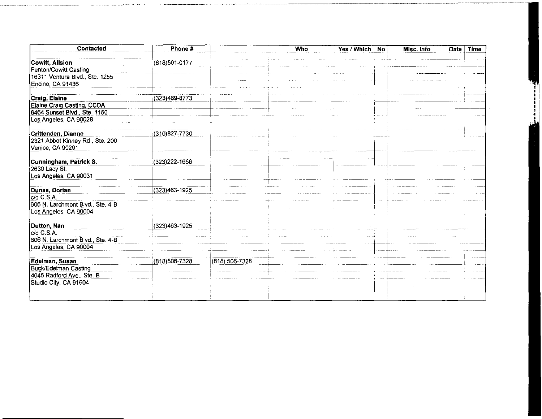| Contacted                        | Phone #           |                    | <b>Who</b> | Yes / Which   No | Misc. info | Time<br><b>Date</b> |
|----------------------------------|-------------------|--------------------|------------|------------------|------------|---------------------|
|                                  |                   |                    |            |                  |            |                     |
| Cowitt, Allsion                  | (818)501-0177     |                    |            |                  |            |                     |
| Fenton/Cowitt Casting            |                   |                    |            |                  |            |                     |
| 16311 Ventura Blvd., Ste. 1255   |                   |                    |            |                  |            |                     |
| Encino, CA 91436                 |                   |                    |            |                  |            |                     |
|                                  |                   |                    |            |                  |            |                     |
| Craig, Elaine                    | (323)469-8773     |                    |            |                  |            |                     |
| Elaine Craig Casting, CCDA       |                   |                    |            |                  |            |                     |
| 6464 Sunset Blvd., Ste. 1150     |                   |                    |            |                  |            |                     |
| Los Angeles, CA 90028            |                   |                    |            |                  |            |                     |
|                                  |                   |                    |            |                  |            |                     |
| Crittenden, Dianne               | $(310)827 - 7730$ |                    |            |                  |            |                     |
| 2321 Abbot Kinney Rd., Ste. 200  |                   |                    |            |                  |            |                     |
| Venice, CA 90291                 |                   |                    |            |                  |            |                     |
|                                  |                   |                    |            |                  |            |                     |
| Cunningham, Patrick S.           | (323) 222-1656    |                    |            |                  |            |                     |
| 2630 Lacy St.                    |                   |                    |            |                  |            |                     |
| Los Angeles, CA 90031            |                   |                    |            |                  |            |                     |
|                                  |                   |                    |            |                  |            |                     |
| Dunas, Dorian                    | (323)463-1925     |                    |            |                  |            |                     |
| c/o C.S.A.                       |                   |                    |            |                  |            |                     |
| 606 N. Larchmont Blvd., Ste. 4-B |                   |                    |            |                  |            |                     |
| Los Angeles, CA 90004            |                   |                    |            |                  |            |                     |
|                                  |                   |                    |            |                  |            |                     |
| Dutton, Nan                      | $(323)463 - 1925$ |                    |            |                  |            |                     |
| c/o C.S.A.                       |                   |                    |            |                  |            |                     |
| 606 N. Larchmont Blvd., Ste. 4-B |                   |                    |            |                  |            |                     |
| Los Angeles, CA 90004            |                   |                    |            |                  |            |                     |
|                                  |                   |                    |            |                  |            |                     |
| Edelman, Susan                   | (818) 506-7328    | $(818) 506 - 7328$ |            |                  |            |                     |
| Buck/Edelman Casting             |                   |                    |            |                  |            |                     |
| 4045 Radford Ave., Ste. B        |                   |                    |            |                  |            |                     |
| Studio City, CA 91604            |                   |                    |            |                  |            |                     |
|                                  |                   |                    |            |                  |            |                     |
|                                  |                   |                    |            |                  |            |                     |
|                                  |                   |                    |            |                  |            |                     |

**Extra de de la calcada de la calcada de la calcada de la calcada de la calcada de la calcada de la calcada de**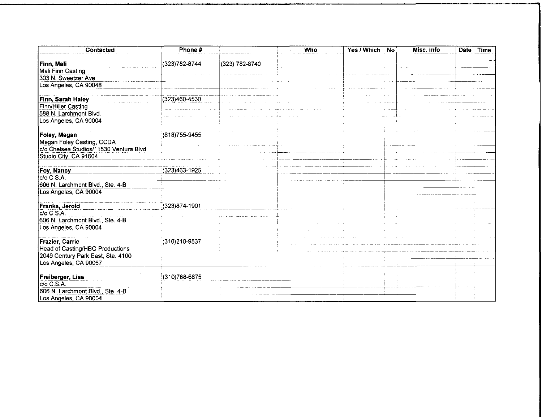| Contacted                               | Phone #           |                | Who | Yes / Which | <b>No</b> | Misc. info | <b>Date</b> | Time |
|-----------------------------------------|-------------------|----------------|-----|-------------|-----------|------------|-------------|------|
| Finn, Mali                              | $(323)782 - 8744$ | (323) 782-8740 |     |             |           |            |             |      |
| Mali Finn Casting                       |                   |                |     |             |           |            |             |      |
| 303 N. Sweetzer Ave.                    |                   |                |     |             |           |            |             |      |
| Los Angeles, CA 90048                   |                   |                |     |             |           |            |             |      |
|                                         |                   |                |     |             |           |            |             |      |
| Finn, Sarah Haley                       | $(323)460 - 4530$ |                |     |             |           |            |             |      |
| Finn/Hiller Casting                     |                   |                |     |             |           |            |             |      |
| 588 N. Larchmont Blvd.                  |                   |                |     |             |           |            |             |      |
| Los Angeles, CA 90004                   |                   |                |     |             |           |            |             |      |
|                                         |                   |                |     |             |           |            |             |      |
| Foley, Megan                            | (818) 755-9455    |                |     |             |           |            |             |      |
| Megan Foley Casting, CCDA               |                   |                |     |             |           |            |             |      |
| c/o Chelsea Studios/11530 Ventura Blvd. |                   |                |     |             |           |            |             |      |
| Studio City, CA 91604                   |                   |                |     |             |           |            |             |      |
|                                         |                   |                |     |             |           |            |             |      |
| Foy, Nancy                              | (323)463-1925     |                |     |             |           |            |             |      |
| c/o C.S.A.                              |                   |                |     |             |           |            |             |      |
|                                         |                   |                |     |             |           |            |             |      |
| 606 N. Larchmont Blvd., Ste. 4-B        |                   |                |     |             |           |            |             |      |
| Los Angeles, CA 90004                   |                   |                |     |             |           |            |             |      |
|                                         |                   |                |     |             |           |            |             |      |
| <b>Franks, Jerold</b>                   | $(323)874 - 1901$ |                |     |             |           |            |             |      |
| c/o C.S.A.                              |                   |                |     |             |           |            |             |      |
| 606 N. Larchmont Blvd., Ste. 4-B        |                   |                |     |             |           |            |             |      |
| Los Angeles, CA 90004                   |                   |                |     |             |           |            |             |      |
|                                         |                   |                |     |             |           |            |             |      |
| Frazier, Carrie                         | (310)210-9537     |                |     |             |           |            |             |      |
| Head of Casting/HBO Productions         |                   |                |     |             |           |            |             |      |
| 2049 Century Park East, Ste. 4100       |                   |                |     |             |           |            |             |      |
| Los Angeles, CA 90067                   |                   |                |     |             |           |            |             |      |
|                                         |                   |                |     |             |           |            |             |      |
| Freiberger, Lisa                        | $(310)788 - 6875$ |                |     |             |           |            |             |      |
| $C/O$ $C.S.A.$                          |                   |                |     |             |           |            |             |      |
| 606 N. Larchmont Blvd., Ste. 4-B        |                   |                |     |             |           |            |             |      |
| Los Angeles, CA 90004                   |                   |                |     |             |           |            |             |      |
|                                         |                   |                |     |             |           |            |             |      |

 $\mathcal{L}^{\text{max}}_{\text{max}}$  and  $\mathcal{L}^{\text{max}}_{\text{max}}$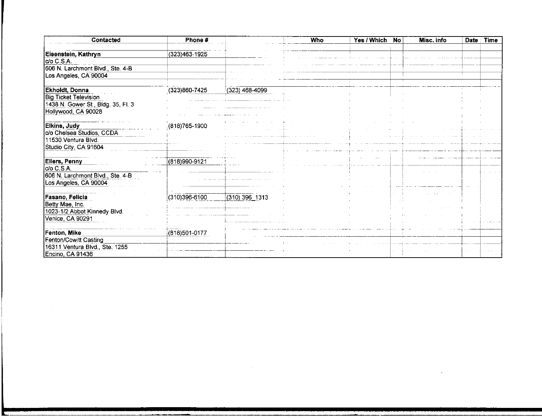| Contacted                          | Phone #        |                    | <b>Who</b> | Yes / Which | <b>No</b> | Misc. info | Date | <b>Time</b> |
|------------------------------------|----------------|--------------------|------------|-------------|-----------|------------|------|-------------|
| Eisenstein, Kathryn                | (323)463-1925  |                    |            |             |           |            |      |             |
| c/o C.S.A.                         |                |                    |            |             |           |            |      |             |
| 606 N. Larchmont Blvd., Ste. 4-B   |                |                    |            |             |           |            |      |             |
| Los Angeles, CA 90004              |                |                    |            |             |           |            |      |             |
| Ekholdt, Donna                     | (323)860-7425  | $(323)$ 468-4099   |            |             |           |            |      |             |
| <b>Big Ticket Television</b>       |                |                    |            |             |           |            |      |             |
| 1438 N. Gower St., Bldg. 35, Fl. 3 |                |                    |            |             |           |            |      |             |
| Hollywood, CA 90028                |                |                    |            |             |           |            |      |             |
|                                    |                |                    |            |             |           |            |      |             |
| Elkins, Judy                       | (818) 765-1900 |                    |            |             |           |            |      |             |
| c/o Chelsea Studios, CCDA          |                |                    |            |             |           |            |      |             |
| 11530 Ventura Blvd.                |                |                    |            |             |           |            |      |             |
| Studio City, CA 91604              |                |                    |            |             |           |            |      |             |
| <b>Ellers, Penny</b>               | (818)990-9121  |                    |            |             |           |            |      |             |
| do C.S.A.                          |                |                    |            |             |           |            |      |             |
| 606 N. Larchmont Blvd., Ste. 4-B   |                |                    |            |             |           |            |      |             |
| Los Angeles, CA 90004              |                |                    |            |             |           |            |      |             |
|                                    |                |                    |            |             |           |            |      |             |
| Fasano, Felicia                    | (310)396-6100  | $(310) 396 - 1313$ |            |             |           |            |      |             |
| Betty Mae, Inc.                    |                |                    |            |             |           |            |      |             |
| 1023-1/2 Abbot Kinnedy Blvd.       |                |                    |            |             |           |            |      |             |
| Venice, CA 90291                   |                |                    |            |             |           |            |      |             |
|                                    |                |                    |            |             |           |            |      |             |
| Fenton, Mike                       | (818)501-0177  |                    |            |             |           |            |      |             |
| Fenton/Cowitt Casting              |                |                    |            |             |           |            |      |             |
| 16311 Ventura Blvd., Ste. 1255     |                |                    |            |             |           |            |      |             |
| Encino, CA 91436                   |                |                    |            |             |           |            |      |             |

 $\mathcal{L}^{\text{max}}_{\text{max}}$ 

 $\mathcal{L}^{\text{max}}_{\text{max}}$  . The  $\mathcal{L}^{\text{max}}_{\text{max}}$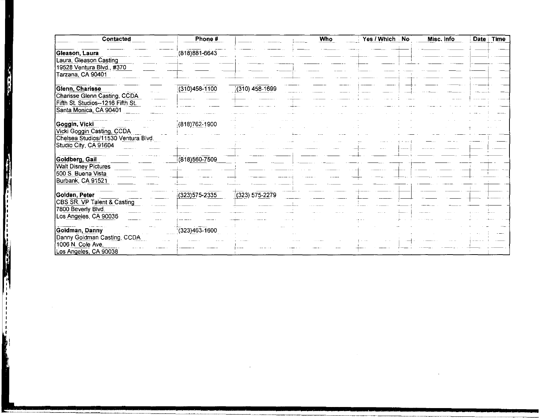| Contacted                                                                                                      | Phone #           |                    | <b>Who</b> | Yes / Which No | Misc. info | <b>Date</b><br><b>Time</b> |
|----------------------------------------------------------------------------------------------------------------|-------------------|--------------------|------------|----------------|------------|----------------------------|
| Gleason, Laura<br>Laura, Gleason Casting<br>19528 Ventura Blvd., #370<br>Tarzana, CA 90401                     | (818) 881-6643    |                    |            |                |            |                            |
| Glenn, Charisse<br>Charisse Glenn Casting, CCDA<br>Fifth St. Studios--1216 Fifth St.<br>Santa Monica, CA 90401 | $(310)458 - 1100$ | (310) 458-1699     |            |                |            |                            |
| Goggin, Vicki<br>Vicki Goggin Casting, CCDA<br>Chelsea Studios/11530 Ventura Blvd.<br>Studio City, CA 91604    | $(818)762 - 1900$ |                    |            |                |            |                            |
| Goldberg, Gail<br><b>Walt Disney Pictures</b><br>500 S. Buena Vista<br>Burbank, CA 91521                       | (818)560-7509     |                    |            |                |            |                            |
| Golden, Peter<br>CBS SR. VP Talent & Casting<br>7800 Beverly Blvd.<br>Los Angeles, CA 90036                    | (323) 575-2335    | $(323) 575 - 2279$ |            |                |            |                            |
| Goldman, Danny<br>Danny Goldman Casting, CCDA<br>1006 N. Cole Ave.<br>Los Angeles, CA 90038                    | $(323)463 - 1600$ |                    |            |                |            |                            |

 $\mathcal{L}^{\mathcal{L}}(\mathcal{L}^{\mathcal{L}})$  and  $\mathcal{L}^{\mathcal{L}}(\mathcal{L}^{\mathcal{L}})$  .

 $\mathcal{L}(\mathcal{L}^{\text{max}}_{\mathcal{L}}(\mathcal{L}^{\text{max}}_{\mathcal{L}}),\mathcal{L}^{\text{max}}_{\mathcal{L}^{\text{max}}_{\mathcal{L}}})$ 

Ŋ

**The Company of the Company**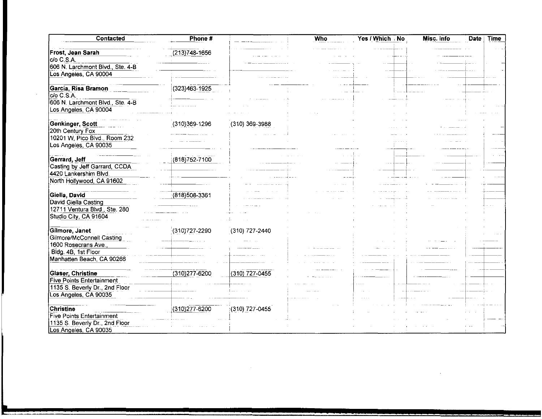| Contacted                        | Phone #           |                  | Who | Yes / Which No | Misc. info<br>Date | <b>Time</b> |
|----------------------------------|-------------------|------------------|-----|----------------|--------------------|-------------|
| Frost, Jean Sarah                | $(213)748 - 1656$ |                  |     |                |                    |             |
| do C.S.A.                        |                   |                  |     |                |                    |             |
| 606 N. Larchmont Blvd., Ste. 4-B |                   |                  |     |                |                    |             |
| Los Angeles, CA 90004            |                   |                  |     |                |                    |             |
|                                  |                   |                  |     |                |                    |             |
| Garcia, Risa Bramon              | (323)463-1925     |                  |     |                |                    |             |
| $C/O$ $C.S.A.$                   |                   |                  |     |                |                    |             |
| 606 N. Larchmont Blvd., Ste. 4-B |                   |                  |     |                |                    |             |
| Los Angeles, CA 90004            |                   |                  |     |                |                    |             |
|                                  |                   |                  |     |                |                    |             |
| Genkinger, Scott                 | (310)369-1296     | $(310)$ 369-3988 |     |                |                    |             |
| 20th Century Fox                 |                   |                  |     |                |                    |             |
| 10201 W. Pico Blvd., Room 232    |                   |                  |     |                |                    |             |
| Los Angeles, CA 90035            |                   |                  |     |                |                    |             |
|                                  |                   |                  |     |                |                    |             |
| Gerrard, Jeff                    | (818) 752-7100    |                  |     |                |                    |             |
| Casting by Jeff Garrard, CCDA    |                   |                  |     |                |                    |             |
| 4420 Lankershim Blvd.            |                   |                  |     |                |                    |             |
| North Hollywood, CA 91602        |                   |                  |     |                |                    |             |
|                                  |                   |                  |     |                |                    |             |
| Giella, David                    | (818) 508-3361    |                  |     |                |                    |             |
| David Giella Casting             |                   |                  |     |                |                    |             |
| 12711 Ventura Blvd. Ste. 280     |                   |                  |     |                |                    |             |
| Studio City, CA 91604            |                   |                  |     |                |                    |             |
|                                  |                   |                  |     |                |                    |             |
| Gilmore, Janet                   | (310) 727-2290    | (310) 727-2440   |     |                |                    |             |
| Gilmore/McConnell Casting        |                   |                  |     |                |                    |             |
| 1600 Rosecrans Ave.,             |                   |                  |     |                |                    |             |
| Bldg. 4B, 1st Floor              |                   |                  |     |                |                    |             |
| Manhatten Beach, CA 90266        |                   |                  |     |                |                    |             |
|                                  |                   |                  |     |                |                    |             |
| <b>Glaser, Christine</b>         | $(310)277 - 6200$ | $(310)$ 727-0455 |     |                |                    |             |
| <b>Five Points Entertainment</b> |                   |                  |     |                |                    |             |
| 1135 S. Beverly Dr., 2nd Floor   |                   |                  |     |                |                    |             |
| Los Angeles, CA 90035            |                   |                  |     |                |                    |             |
|                                  |                   |                  |     |                |                    |             |
| <b>Christine</b>                 | (310) 277-6200    |                  |     |                |                    |             |
| Five Points Entertainment        |                   | (310) 727-0455   |     |                |                    |             |
|                                  |                   |                  |     |                |                    |             |
| 1135 S. Beverly Dr., 2nd Floor   |                   |                  |     |                |                    |             |
| Los Angeles, CA 90035            |                   |                  |     |                |                    |             |

 $\sim 10^{11}$  km  $^{-1}$ 

 $\sim 100$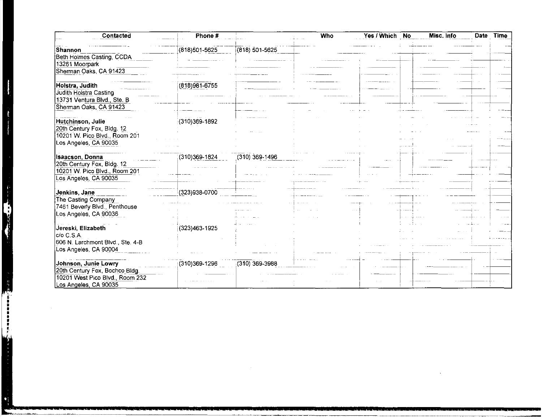| Contacted                        | Phone #           |                    | Who | Yes / Which | <b>No</b> | Misc. info | Date Time |
|----------------------------------|-------------------|--------------------|-----|-------------|-----------|------------|-----------|
| Shannon                          | (818)501-5625     | $(818) 501 - 5625$ |     |             |           |            |           |
| Beth Holmes Casting, CCDA        |                   |                    |     |             |           |            |           |
| 13261 Moorpark                   |                   |                    |     |             |           |            |           |
| Sherman Oaks, CA 91423           |                   |                    |     |             |           |            |           |
|                                  |                   |                    |     |             |           |            |           |
| Holstra, Judith                  | $(818)981-6755$   |                    |     |             |           |            |           |
| Judith Holstra Casting           |                   |                    |     |             |           |            |           |
| 13731 Ventura Blvd., Ste. B      |                   |                    |     |             |           |            |           |
| Sherman Oaks, CA 91423           |                   |                    |     |             |           |            |           |
|                                  |                   |                    |     |             |           |            |           |
| Hutchinson, Julie                |                   |                    |     |             |           |            |           |
|                                  | (310)369-1892     |                    |     |             |           |            |           |
| 20th Century Fox, Bldg. 12       |                   |                    |     |             |           |            |           |
| 10201 W. Pico Blvd., Room 201    |                   |                    |     |             |           |            |           |
| Los Angeles, CA 90035            |                   |                    |     |             |           |            |           |
|                                  |                   |                    |     |             |           |            |           |
| Isaacson, Donna                  | (310)369-1824     | $(310)$ 369-1496   |     |             |           |            |           |
| 20th Century Fox, Bldg. 12       |                   |                    |     |             |           |            |           |
| 10201 W. Pico Blvd., Room 201    |                   |                    |     |             |           |            |           |
| Los Angeles, CA 90035            |                   |                    |     |             |           |            |           |
|                                  |                   |                    |     |             |           |            |           |
| Jenkins, Jane                    | (323)938-0700     |                    |     |             |           |            |           |
| The Casting Company              |                   |                    |     |             |           |            |           |
| 7461 Beverly Blvd., Penthouse    |                   |                    |     |             |           |            |           |
| Los Angeles, CA 90036            |                   |                    |     |             |           |            |           |
|                                  |                   |                    |     |             |           |            |           |
| Jereski, Elizabeth               | $(323)463 - 1925$ |                    |     |             |           |            |           |
| c/o C.S.A.                       |                   |                    |     |             |           |            |           |
| 606 N. Larchmont Blvd., Ste. 4-B |                   |                    |     |             |           |            |           |
| Los Angeles, CA 90004            |                   |                    |     |             |           |            |           |
|                                  |                   |                    |     |             |           |            |           |
| Johnson, Junie Lowry             | (310)369-1296     | $(310)$ 369-3988   |     |             |           |            |           |
| 20th Century Fox, Bochco Bldg.   |                   |                    |     |             |           |            |           |
| 10201 West Pico Blvd., Room 232  |                   |                    |     |             |           |            |           |
| Los Angeles, CA 90035            |                   |                    |     |             |           |            |           |

 $\mathbf{I}$ 

ŀ - j

i.

с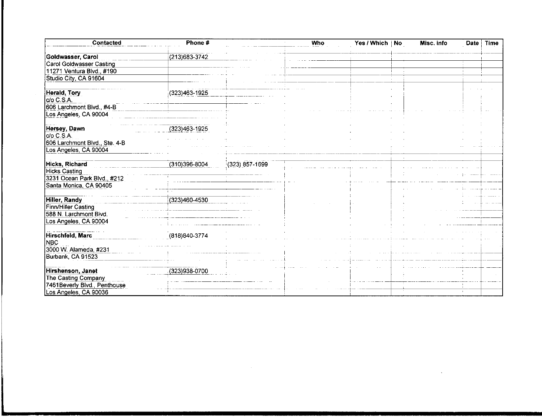| Contacted                                             | Phone #           |                | Who | Yes / Which   No | Misc. info | Date | <b>Time</b> |
|-------------------------------------------------------|-------------------|----------------|-----|------------------|------------|------|-------------|
| Goldwasser, Carol                                     | (213) 683-3742    |                |     |                  |            |      |             |
| <b>Carol Goldwasser Casting</b>                       |                   |                |     |                  |            |      |             |
| 11271 Ventura Blvd., #190                             |                   |                |     |                  |            |      |             |
| Studio City, CA 91604                                 |                   |                |     |                  |            |      |             |
| Herald, Tory<br>c/o C.S.A.                            | (323)463-1925     |                |     |                  |            |      |             |
| 606 Larchmont Bivd., #4-B                             |                   |                |     |                  |            |      |             |
| Los Angeles, CA 90004                                 |                   |                |     |                  |            |      |             |
| Hersey, Dawn                                          | (323)463-1925     |                |     |                  |            |      |             |
| c/o C.S.A.<br>606 Larchmont Blvd., Ste. 4-B           |                   |                |     |                  |            |      |             |
| Los Angeles, CA 90004                                 |                   |                |     |                  |            |      |             |
| <b>Hicks, Richard</b>                                 | $(310)396 - 8004$ | (323) 857-1699 |     |                  |            |      |             |
| <b>Hicks Casting</b>                                  |                   |                |     |                  |            |      |             |
| 3231 Ocean Park Blvd., #212<br>Santa Monica, CA 90405 |                   |                |     |                  |            |      |             |
|                                                       |                   |                |     |                  |            |      |             |
| <b>Hiller, Randy</b>                                  | (323)460-4530     |                |     |                  |            |      |             |
| Finn/Hiller Casting                                   |                   |                |     |                  |            |      |             |
| 588 N. Larchmont Blvd.                                |                   |                |     |                  |            |      |             |
| Los Angeles, CA 90004                                 |                   |                |     |                  |            |      |             |
|                                                       |                   |                |     |                  |            |      |             |
| Hirschfeld, Marc                                      | (818) 840-3774    |                |     |                  |            |      |             |
| <b>NBC</b>                                            |                   |                |     |                  |            |      |             |
| 3000 W. Alameda, #231                                 |                   |                |     |                  |            |      |             |
| Burbank, CA 91523                                     |                   |                |     |                  |            |      |             |
|                                                       |                   |                |     |                  |            |      |             |
| Hirshenson, Janet                                     | (323)938-0700     |                |     |                  |            |      |             |
| The Casting Company                                   |                   |                |     |                  |            |      |             |
| 7461Beverly Blvd., Penthouse                          |                   |                |     |                  |            |      |             |
| Los Angeles, CA 90036                                 |                   |                |     |                  |            |      |             |

 $\mathcal{L}^{\text{max}}_{\text{max}}$  , where  $\mathcal{L}^{\text{max}}_{\text{max}}$ 

 $\mathcal{L}^{\text{max}}_{\text{max}}$  , where  $\mathcal{L}^{\text{max}}_{\text{max}}$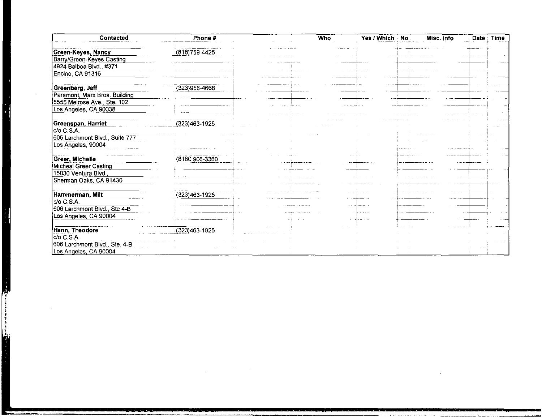| Contacted                        | Phone #           | Who | Yes / Which | · No | Misc. info | Date | <b>Time</b> |
|----------------------------------|-------------------|-----|-------------|------|------------|------|-------------|
| Green-Keyes, Nancy               | (818) 759-4425    |     |             |      |            |      |             |
| <b>Barry/Green-Keyes Casting</b> |                   |     |             |      |            |      |             |
| 4924 Balboa Blvd., #371          |                   |     |             |      |            |      |             |
| Encino, CA 91316                 |                   |     |             |      |            |      |             |
| Greenberg, Jeff                  | (323)956-4668     |     |             |      |            |      |             |
| Paramont, Marx Bros. Building    |                   |     |             |      |            |      |             |
| 5555 Melrose Ave., Ste. 102      |                   |     |             |      |            |      |             |
| Los Angeles, CA 90038            |                   |     |             |      |            |      |             |
|                                  |                   |     |             |      |            |      |             |
| Greenspan, Harriet<br>c/o C.S.A. | $(323)463 - 1925$ |     |             |      |            |      |             |
| 606 Larchmont Blvd., Suite 777   |                   |     |             |      |            |      |             |
| Los Angeles, 90004               |                   |     |             |      |            |      |             |
|                                  |                   |     |             |      |            |      |             |
| Greer, Michelle                  | (8180 906-3360    |     |             |      |            |      |             |
| Micheal Greer Casting            |                   |     |             |      |            |      |             |
| 15030 Ventura Blvd.,             |                   |     |             |      |            |      |             |
| Sherman Oaks, CA 91430           |                   |     |             |      |            |      |             |
|                                  |                   |     |             |      |            |      |             |
| Hammerman, Milt                  | $(323)463 - 1925$ |     |             |      |            |      |             |
| c/o C.S.A.                       |                   |     |             |      |            |      |             |
| 606 Larchmont Blvd., Ste 4-B     |                   |     |             |      |            |      |             |
| Los Angeles, CA 90004            |                   |     |             |      |            |      |             |
| Hann, Theodore                   | (323)463-1925     |     |             |      |            |      |             |
| c/o C.S.A.                       |                   |     |             |      |            |      |             |
| 606 Larchmont Blvd., Ste. 4-B    |                   |     |             |      |            |      |             |
| Los Angeles, CA 90004            |                   |     |             |      |            |      |             |

 $\sim 100$ 

 $\sim 100$ 

٦

1990年10月12日,1990年10月20日,1990年10月1日,1990年10月1日,1990年10月1日,1990年10月,1990年10月,1990年10月,1990年10月,1990年10 年10月,1990年10月,1990年10月,1990年10月,1990年10月,1990年10月,1990年10月,1990年10月,1990年10月,1990年10月,1990年10月,1990年10月,1990年10月,1990年10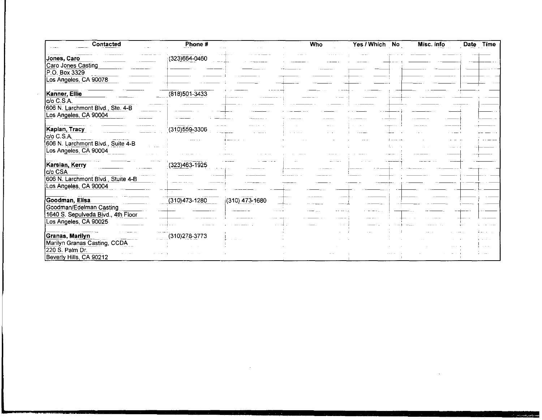| Contacted                          | Phone #           |                  | <b>Who</b> | Yes / Which | N <sub>o</sub> | Misc. info | Date | Time |
|------------------------------------|-------------------|------------------|------------|-------------|----------------|------------|------|------|
| Jones, Caro                        | (323)664-0460     |                  |            |             |                |            |      |      |
| Caro Jones Casting                 |                   |                  |            |             |                |            |      |      |
| P.O. Box 3329                      |                   |                  |            |             |                |            |      |      |
| Los Angeles, CA 90078              |                   |                  |            |             |                |            |      |      |
| Kanner, Ellie                      | $(818)501 - 3433$ |                  |            |             |                |            |      |      |
| do C.S.A.                          |                   |                  |            |             |                |            |      |      |
| 606 N. Larchmont Blvd., Ste. 4-B   |                   |                  |            |             |                |            |      |      |
| Los Angeles, CA 90004              |                   |                  |            |             |                |            |      |      |
|                                    |                   |                  |            |             |                |            |      |      |
| Kaplan, Tracy                      | $(310)559 - 3306$ |                  |            |             |                |            |      |      |
| CO C.S.A.                          |                   |                  |            |             |                |            |      |      |
| 606 N. Larchmont Blvd., Suite 4-B  |                   |                  |            |             |                |            |      |      |
| Los Angeles, CA 90004              |                   |                  |            |             |                |            |      |      |
| Karsian, Kerry                     | (323)463-1925     |                  |            |             |                |            |      |      |
| CO CSA                             |                   |                  |            |             |                |            |      |      |
| 606 N. Larchmont Blvd., Stuite 4-B |                   |                  |            |             |                |            |      |      |
| Los Angeles, CA 90004              |                   |                  |            |             |                |            |      |      |
|                                    |                   |                  |            |             |                |            |      |      |
| Goodman, Elisa                     | $(310)473 - 1280$ | $(310)$ 473-1680 |            |             |                |            |      |      |
| Goodman/Edelman Casting            |                   |                  |            |             |                |            |      |      |
| 1640 S. Sepulveda Bivd., 4th Floor |                   |                  |            |             |                |            |      |      |
| Los Angeles, CA 90025              |                   |                  |            |             |                |            |      |      |
| Granas, Marilyn                    | (310) 278-3773    |                  |            |             |                |            |      |      |
| Marilyn Granas Casting, CCDA       |                   |                  |            |             |                |            |      |      |
| 220 S. Palm Dr.                    |                   |                  |            |             |                |            |      |      |
| Beverly Hills, CA 90212            |                   |                  |            |             |                |            |      |      |

 $\mathcal{L}(\mathcal{L}(\mathcal{L}))$  and  $\mathcal{L}(\mathcal{L}(\mathcal{L}))$  . The set of  $\mathcal{L}(\mathcal{L})$ 

 $\mathcal{L}_{\text{max}}$  and  $\mathcal{L}_{\text{max}}$  . See Fig. , we have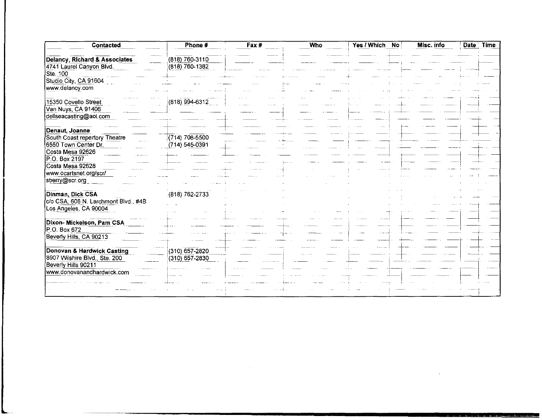| Contacted                                         | Phone #            | Fax# | <b>Who</b> | Yes / Which No | Misc. info | Date Time |
|---------------------------------------------------|--------------------|------|------------|----------------|------------|-----------|
| Delancy, Richard & Associates                     | (818) 760-3110     |      |            |                |            |           |
| 4741 Laurel Canyon Blvd.                          | $(818)$ 760-1382   |      |            |                |            |           |
| Ste. 100                                          |                    |      |            |                |            |           |
| Studio City, CA 91604                             |                    |      |            |                |            |           |
| www.delancy.com                                   |                    |      |            |                |            |           |
| 15350 Covello Street                              | (818) 994-6312     |      |            |                |            |           |
| Van Nuys, CA 91406                                |                    |      |            |                |            |           |
| dellseacasting@aol.com                            |                    |      |            |                |            |           |
| Denaut, Joanne                                    |                    |      |            |                |            |           |
| South Coast repertory Theatre                     | $(714) 708 - 5500$ |      |            |                |            |           |
| 6550 Town Center Dr.                              | (714) 545-0391     |      |            |                |            |           |
| Costa Mesa 92626                                  |                    |      |            |                |            |           |
| P.O. Box 2197                                     |                    |      |            |                |            |           |
| Costa Mesa 92628                                  |                    |      |            |                |            |           |
| www.ocartsnet.org/scr/                            |                    |      |            |                |            |           |
| sberry@scr.org                                    |                    |      |            |                |            |           |
| Dinman, Dick CSA                                  | $(818) 762 - 2733$ |      |            |                |            |           |
| c/o CSA, 606 N. Larchmont Blvd., #4B              |                    |      |            |                |            |           |
| Los Angeles, CA 90004                             |                    |      |            |                |            |           |
|                                                   |                    |      |            |                |            |           |
| Dixon- Mickelson, Pam CSA                         |                    |      |            |                |            |           |
| P.O. Box 672                                      |                    |      |            |                |            |           |
| Beverly Hills, CA 90213                           |                    |      |            |                |            |           |
| Donovan & Hardwick Casting                        | $(310)$ 657-2820   |      |            |                |            |           |
| 8907 Wilshire Blvd., Ste. 200                     | $(310) 657 - 2830$ |      |            |                |            |           |
| Beverly Hills 90211<br>www.donovanandhardwick.com |                    |      |            |                |            |           |
|                                                   |                    |      |            |                |            |           |
|                                                   |                    |      |            |                |            |           |
|                                                   |                    |      |            |                |            |           |

المتعاشين

 $\ldots \ldots \ldots$ 

 $\label{eq:2.1} \mathcal{L}_{\text{max}} = \mathcal{L}_{\text{max}} + \mathcal{L}_{\text{max}} + \mathcal{L}_{\text{max}} + \mathcal{L}_{\text{max}}$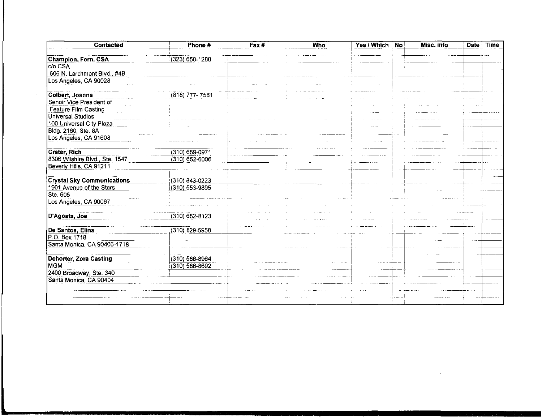| Contacted                         | Phone #            | Fax# | <b>Who</b> | Yes / Which | N <sub>o</sub> | Misc. info | Date Time |
|-----------------------------------|--------------------|------|------------|-------------|----------------|------------|-----------|
| Champion, Fern, CSA               | $(323)$ 650-1280   |      |            |             |                |            |           |
| c/o CSA                           |                    |      |            |             |                |            |           |
| 606 N. Larchmont Blvd., #4B       |                    |      |            |             |                |            |           |
| Los Angeles, CA 90028             |                    |      |            |             |                |            |           |
|                                   |                    |      |            |             |                |            |           |
| Colbert, Joanna                   | (818) 777-7581     |      |            |             |                |            |           |
| Senoir Vice President of          |                    |      |            |             |                |            |           |
| Feature Film Casting              |                    |      |            |             |                |            |           |
| Universal Studios                 |                    |      |            |             |                |            |           |
| 100 Universal City Plaza          |                    |      |            |             |                |            |           |
| Bldg. 2160, Ste. 8A               |                    |      |            |             |                |            |           |
| Los Angeles, CA 91608             |                    |      |            |             |                |            |           |
| Crater, Rich                      | (310) 659-0971     |      |            |             |                |            |           |
| 8306 Wilshire Blvd., Ste. 1547    |                    |      |            |             |                |            |           |
|                                   | (310) 652-6006     |      |            |             |                |            |           |
| Beverly Hills, CA 91211           |                    |      |            |             |                |            |           |
| <b>Crystal Sky Communications</b> | (310) 843-0223     |      |            |             |                |            |           |
| 1901 Avenue of the Stars          | (310) 553-9895     |      |            |             |                |            |           |
| Ste. 605                          |                    |      |            |             |                |            |           |
| Los Angeles, CA 90067             |                    |      |            |             |                |            |           |
|                                   |                    |      |            |             |                |            |           |
| D'Agosta, Joe                     | $(310) 652 - 8123$ |      |            |             |                |            |           |
|                                   |                    |      |            |             |                |            |           |
| De Santos, Elina                  | $(310)$ 829-5958   |      |            |             |                |            |           |
| P.O. Box 1718                     |                    |      |            |             |                |            |           |
| Santa Monica, CA 90406-1718       |                    |      |            |             |                |            |           |
|                                   |                    |      |            |             |                |            |           |
| <b>Dehorter, Zora Casting</b>     | $(310) 586 - 8964$ |      |            |             |                |            |           |
| IMGM                              | $(310) 586 - 8692$ |      |            |             |                |            |           |
| 2400 Broadway, Ste. 340           |                    |      |            |             |                |            |           |
| Santa Monica, CA 90404            |                    |      |            |             |                |            |           |
|                                   |                    |      |            |             |                |            |           |
|                                   |                    |      |            |             |                |            |           |
|                                   |                    |      |            |             |                |            |           |

 $\label{eq:2.1} \frac{1}{2} \sum_{i=1}^n \frac{1}{2} \sum_{j=1}^n \frac{1}{2} \sum_{j=1}^n \frac{1}{2} \sum_{j=1}^n \frac{1}{2} \sum_{j=1}^n \frac{1}{2} \sum_{j=1}^n \frac{1}{2} \sum_{j=1}^n \frac{1}{2} \sum_{j=1}^n \frac{1}{2} \sum_{j=1}^n \frac{1}{2} \sum_{j=1}^n \frac{1}{2} \sum_{j=1}^n \frac{1}{2} \sum_{j=1}^n \frac{1}{2} \sum_{j=1}^n \frac{$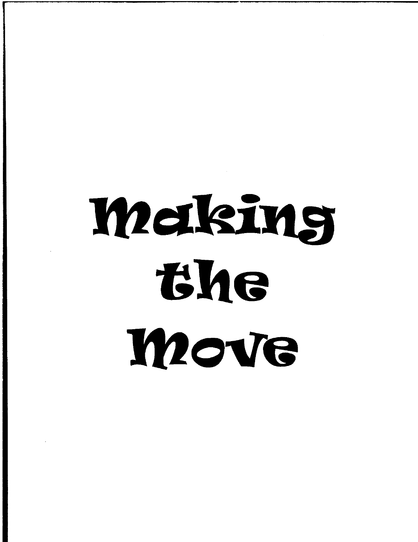# Making the **Move**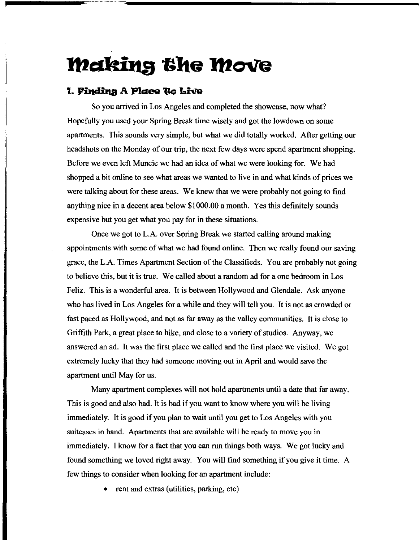## **Making the Move**

## **1. Finding A Place To Live**

So you arrived in Los Angeles and completed the showcase, now what? Hopefully you used your Spring Break time wisely and got the lowdown on some apartments. This sounds very simple, but what we did totally worked. After getting our headshots on the Monday of our trip, the next few days were spend apartment shopping. Before we even left Muncie we had an idea of what we were looking for. We had shopped a bit online to see what areas we wanted to live in and what kinds of prices we were talking about for these areas. We knew that we were probably not going to find anything nice in a decent area below \$1000.00 a month. Yes this definitely sounds expensive but you get what you pay for in these situations.

Once we got to L.A. over Spring Break we started calling around making appointments with some of what we had found online. Then we really found our saving grace, the L.A. Times Apartment Section of the Classifieds. You are probably not going to believe this, but it is true. We called about a random ad for a one bedroom in Los Feliz. This is a wonderful area. It is between Hollywood and Glendale. Ask anyone who has lived in Los Angeles for a while and they will tell you. It is not as crowded or fast paced as Hollywood, and not as far away as the valley communities. It is close to Griffith Park, a great place to hike, and close to a variety of studios. Anyway, we answered an ad. It was the first place we called and the first place we visited. We got extremely lucky that they had someone moving out in April and would save the apartment until May for us.

Many apartment complexes will not hold apartments until a date that far away. This is good and also bad. It is bad if you want to know where you will be living immediately. It is good if you plan to wait until you get to Los Angeles with you suitcases in hand. Apartments that are available will be ready to move you in immediately. I know for a fact that you can run things both ways. We got lucky and found something we loved right away. You will find something if you give it time. A few things to consider when looking for an apartment include:

• rent and extras (utilities, parking, etc)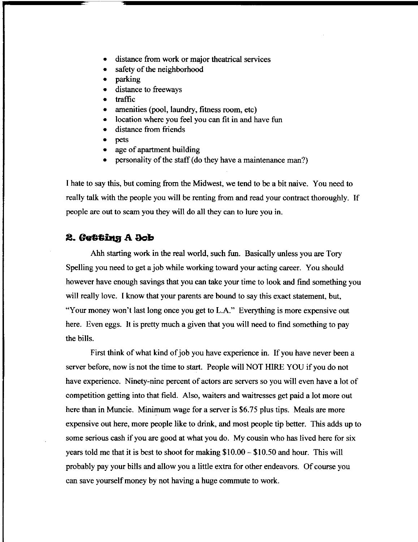- distance from work or major theatrical services
- safety of the neighborhood
- parking
- distance to freeways
- traffic
- amenities (pool, laundry, fitness room, etc)
- location where you feel you can fit in and have fun
- distance from friends
- pets
- age of apartment building
- personality of the staff (do they have a maintenance man?)

I hate to say this, but coming from the Midwest, we tend to be a bit naive. You need to really talk with the people you will be renting from and read your contract thoroughly. If people are out to scam you they will do all they can to lure you in.

## 2. Getting A Job

Ahh starting work in the real world, such fun. Basically unless you are Tory Spelling you need to get a job while working toward your acting career. You should however have enough savings that you can take your time to look and find something you will really love. I know that your parents are bound to say this exact statement, but, "Your money won't last long once you get to L.A." Everything is more expensive out here. Even eggs. It is pretty much a given that you will need to find something to pay the bills.

First think of what kind of job you have experience in. If you have never been a server before, now is not the time to start. People will NOT HIRE YOU if you do not have experience. Ninety-nine percent of actors are servers so you will even have a lot of competition getting into that field. Also, waiters and waitresses get paid a lot more out here than in Muncie. Minimum wage for a server is \$6.75 plus tips. Meals are more expensive out here, more people like to drink, and most people tip better. This adds up to some serious cash if you are good at what you do. My cousin who has lived here for six years told me that it is best to shoot for making \$10.00 - \$10.50 and hour. This will probably pay your bills and allow you a little extra for other endeavors. Of course you can save yourself money by not having a huge commute to work.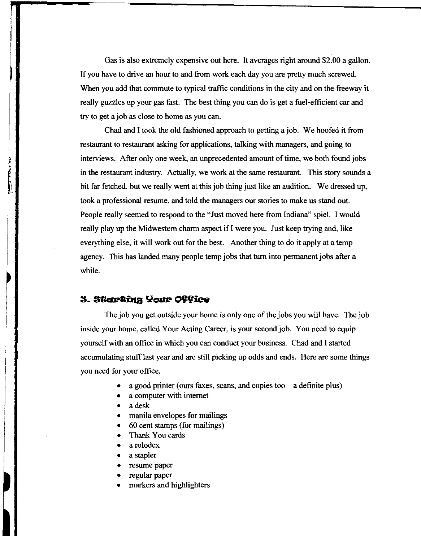Gas is also extremely expensive out here. It averages right around \$2.00 a gallon. If you have to drive an hour to and from work each day you are pretty much screwed. When you add that commute to typical traffic conditions in the city and on the freeway it really guzzles up your gas fast. The best thing you can do is get a fuel-efficient car and try to get a job as close to home as you can.

Chad and I took the old fashioned approach to getting ajob. We hoofed it from restaurant to restaurant asking for applications, talking with managers, and going to interviews. After only one week, an unprecedented amount of time, we both found jobs in the restaurant industry. Actually, we work at the same restaurant. This story sounds a bit far fetched, but we really went at this job thing just like an audition. We dressed up, took a professional resume, and told the managers our stories to make us stand out. People really seemed to respond to the "Just moved here from Indiana" spiel. I would really play up the Midwestern charm aspect if I were you. Just keep trying and, like everything else, it will work out for the best. Another thing to do it apply at a temp agency. This has landed many people temp jobs that turn into permanent jobs after a while.

#### 3. Starting Your Office

**UALIATION** 

The job you get outside your home is only one of the jobs you will have. The job inside your home, called Your Acting Career, is your second job. You need to equip yourself with an office in which you can conduct your business. Chad and I started accumulating stuff last year and are still picking up odds and ends. Here are some things you need for your office.

- a good printer (ours faxes, scans, and copies too  $-$  a definite plus)
- a computer with internet
- a desk
- manila envelopes for mailings
- 60 cent stamps (for mailings)
- Thank You cards
- a rolodex
- a stapler
- resume paper
- regular paper
- markers and highlighters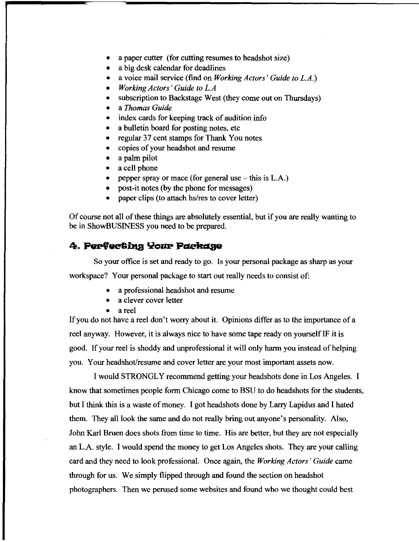- a paper cutter (for cutting resumes to headshot size)
- a big desk calendar for deadlines
- a voice mail service (find on *Working Actors* ' *Guide to L.A.)*
- *Working Actors' Guide to L.A*
- subscription to Backstage West (they come out on Thursdays)
- a *Thomas Guide*
- index cards for keeping track of audition info
- a bulletin board for posting notes, etc
- regular 37 cent stamps for Thank You notes
- copies of your headshot and resume
- a palm pilot
- a cell phone
- pepper spray or mace (for general use  $-$  this is L.A.)
- post-it notes (by the phone for messages)
- paper clips (to attach *hs/res* to cover letter)

Of course not all of these things are absolutely essential, but if you are really wanting to be in ShowBUSINESS you need to be prepared.

## 4. Perfecting Your Package

So your office is set and ready to go. Is your personal package as sharp as your workspace? Your personal package to start out really needs to consist of:

- a professional headshot and resume
- a clever cover letter
- a reel

If you do not have a reel don't worry about it. Opinions differ as to the importance of a reel anyway. However, it is always nice to have some tape ready on yourself IF it is good. If your reel is shoddy and unprofessional it will only harm you instead of helping you. Your headshot/resume and cover letter are your most important assets now.

I would STRONGLY recommend getting your headshots done in Los Angeles. I know that sometimes people form Chicago come to BSU to do headshots for the students, but I think this is a waste of money. I got headshots done by Larry Lapidus and I hated them. They all look the same and do not really bring out anyone's personality. Also, John Karl Bruen does shots from time to time. His are better, but they are not especially an L.A. style. I would spend the money to get Los Angeles shots. They are your calling card and they need to look professional. Once again, the *Working Actors' Guide* came through for us. We simply flipped through and found the section on headshot photographers. Then we perused some websites and found who we thought could best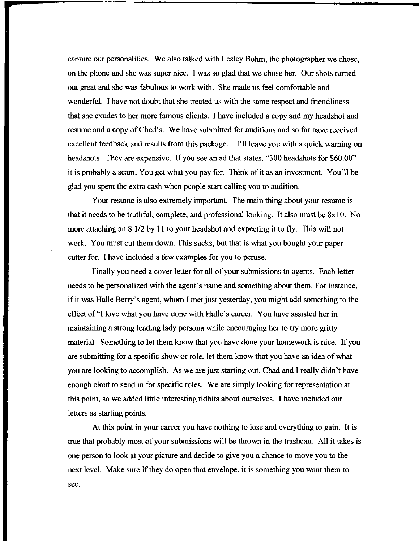capture our personalities. We also talked with Lesley Bohrn, the photographer we chose, on the phone and she was super nice. 1 was so glad that we chose her. Our shots turned out great and she was fabulous to work with. She made us feel comfortable and wonderful. 1 have not doubt that she treated us with the same respect and friendliness that she exudes to her more famous clients. 1 have included a copy and my headshot and resume and a copy of Chad's. We have submitted for auditions and so far have received excellent feedback and results from this package. I'll leave you with a quick warning on headshots. They are expensive. If you see an ad that states, "300 headshots for \$60.00" it is probably a scam. You get what you pay for. Think of it as an investment. You'll be glad you spent the extra cash when people start calling you to audition.

Your resume is also extremely important. The main thing about your resume is that it needs to be truthful, complete, and professional looking. It also must be  $8x10$ . No more attaching an 8 1/2 by 11 to your headshot and expecting it to fly. This will not work. You must cut them down. This sucks, but that is what you bought your paper cutter for. 1 have included a few examples for you to peruse.

Finally you need a cover letter for all of your submissions to agents. Each letter needs to be personalized with the agent's name and something about them. For instance, if it was Halle Berry's agent, whom I met just yesterday, you might add something to the effect of "I love what you have done with Halle's career. You have assisted her in maintaining a strong leading lady persona while encouraging her to try more gritty material. Something to let them know that you have done your homework is nice. If you are submitting for a specific show or role, let them know that you have an idea of what you are looking to accomplish. As we are just starting out, Chad and 1 really didn't have enough clout to send in for specific roles. We are simply looking for representation at this point, so we added little interesting tidbits about ourselves. 1 have included our letters as starting points.

At this point in your career you have nothing to lose and everything to gain. It is true that probably most of your submissions will be thrown in the trashcan. All it takes is one person to look at your picture and decide to give you a chance to move you to the next level. Make sure if they do open that envelope, it is something you want them to see.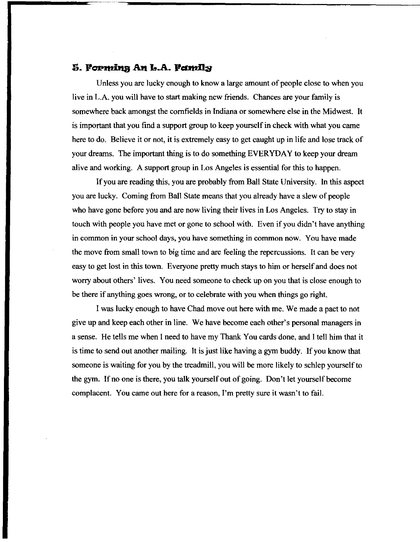## 5. Forming An L.A. Family

Unless you are lucky enough to know a large amount of people close to when you live in L.A. you will have to start making new friends. Chances are your family is somewhere back amongst the cornfields in Indiana or somewhere else in the Midwest. It is important that you find a support group to keep yourself in check with what you came here to do. Believe it or not, it is extremely easy to get caught up in life and lose track of your dreams. The important thing is to do something EVERYDAY to keep your dream alive and working. A support group in Los Angeles is essential for this to happen.

If you are reading this, you are probably from Ball State University. In this aspect you are lucky. Coming from Ball State means that you already have a slew of people who have gone before you and are now living their lives in Los Angeles. Try to stay in touch with people you have met or gone to school with. Even if you didn't have anything in common in your school days, you have something in common now. You have made the move from small town to big time and are feeling the repercussions. It can be very easy to get lost in this town. Everyone pretty much stays to him or herself and does not worry about others' lives. You need someone to check up on you that is close enough to be there if anything goes wrong, or to celebrate with you when things go right.

I was lucky enough to have Chad move out here with me. We made a pact to not give up and keep each other in line. We have become each other's personal managers in a sense. He tells me when I need to have my Thank You cards done, and I tell him that it is time to send out another mailing. It is just like having a gym buddy. If you know that someone is waiting for you by the treadmill, you will be more likely to schlep yourself to the gym. If no one is there, you talk yourself out of going. Don't let yourself become complacent. You came out here for a reason, I'm pretty sure it wasn't to fail.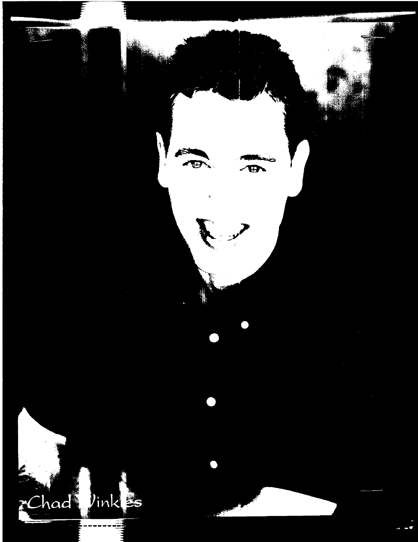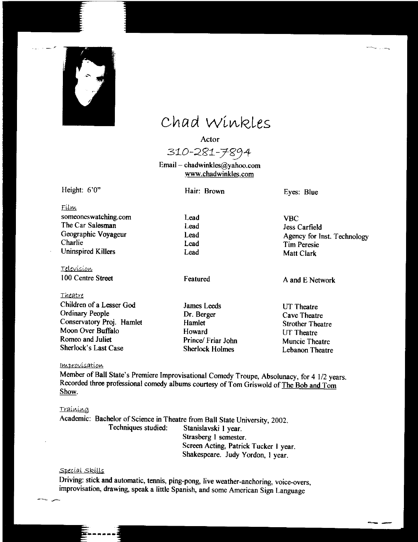

## Chad Winkles

Actor

310-281-7894 Email – chadwinkles@yahoo.com

www.chadwinkles.com

Height: 6'0"

Hair: Brown

Lead Lead Lead Lead Lead Eyes: Blue

Film someoneswatching.com The Car Salesman Geographic Voyageur Charlie Uninspired Killers

Television 100 Centre Street

*Theatre*  Children of a Lesser God Ordinary People Conservatory Proj. Hamlet Moon Over Buffalo Romeo and Juliet Sherlock's Last Case

Featured

James Leeds Dr. Berger Hamlet Howard Prince/ Friar John Sherlock Holmes

VBC Jess Carfield Agency for Inst. Technology Tim Peresie Matt Clark

~.-----..

**--**

A and E Network

UT Theatre Cave Theatre Strother Theatre UT Theatre Muncie Theatre Lebanon Theatre

#### *<u>Improvisation</u>*

Member of Ball State's Premiere Improvisational Comedy Troupe, Absolunacy, for 4 1/2 years. Recorded three professional comedy albums courtesy of Tom Griswold of The Bob and Tom Show.

#### <u>Traíníng</u>

Academic: Bachelor of Science in Theatre from Ball State University, 2002.<br>Techniques studied: Stanislavski 1 vear. Stanislavski 1 year. Strasberg I semester. Screen Acting, Patrick Tucker I year. Shakespeare. Judy Yordon, I year.

#### Special Skills

Driving: stick and automatic, tennis, ping-pong, live weather-anchoring, voice-overs, improvisation, drawing, speak a little Spanish, and some American Sign Language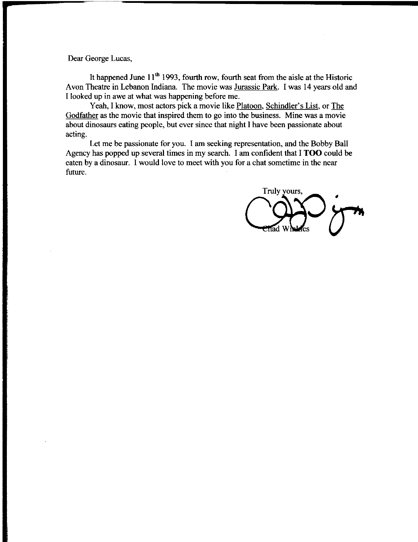Dear George Lucas,

It happened June  $11<sup>th</sup>$  1993, fourth row, fourth seat from the aisle at the Historic Avon Theatre in Lebanon Indiana. The movie was Jurassic Park. I was 14 years old and I looked up in awe at what was happening before me.

Yeah, I know, most actors pick a movie like Platoon, Schindler's List, or The Godfather as the movie that inspired them to go into the business. Mine was a movie about dinosaurs eating people, but ever since that night I have been passionate about acting.

Let me be passionate for you. I am seeking representation, and the Bobby Ball Agency has popped up several times in my search. I am confident that I **TOO** could be eaten by a dinosaur. I would love to meet with you for a chat sometime in the near future.

Truly yours,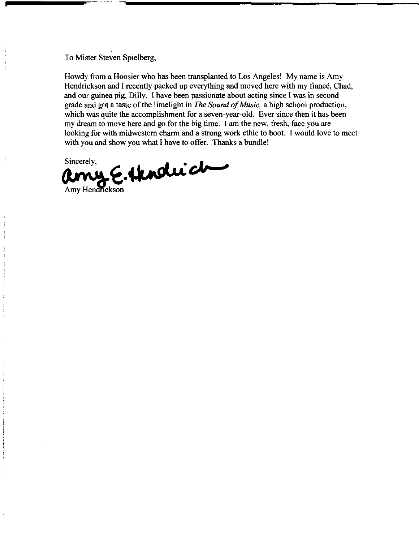To Mister Steven Spielberg,

Howdy from a Hoosier who has been transplanted to Los Angeles! My name is Amy Hendrickson and I recently packed up everything and moved here with my fiance, Chad, and our guinea pig, Dilly. I have been passionate about acting since I was in second grade and got a taste of the limelight in *The Sound of Music,* a high school production, which was quite the accomplishment for a seven-year-old. Ever since then it has been my dream to move here and go for the big time. I am the new, fresh, face you are looking for with midwestern charm and a strong work ethic to boot. I would love to meet with you and show you what I have to offer. Thanks a bundle! Sincerely,

Amy Hendrickson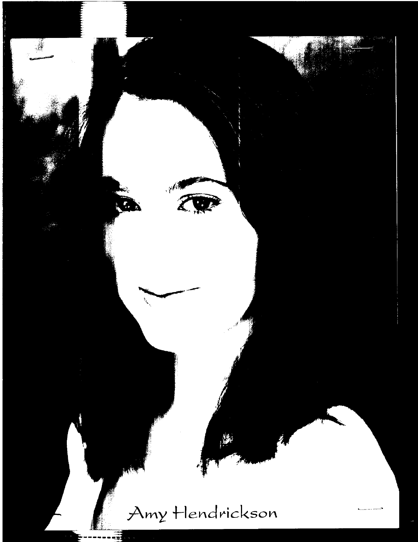## Amy Hendrickson

 $\bullet$  .

 $\boldsymbol{\chi}$ 

 $\ddot{\bullet}$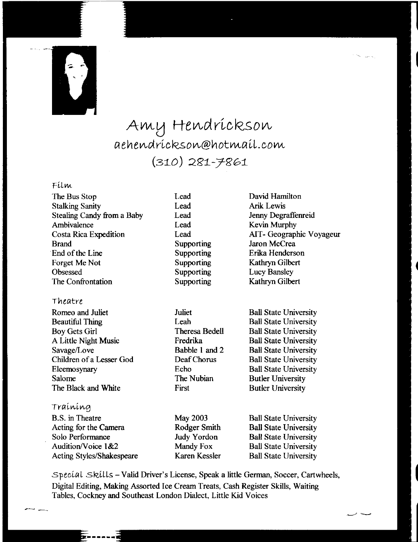

## Amy Hendrickson  $a$ ehendríckson@hotmaíl.com (310) 281-7861

## Film

| The Bus Stop               |
|----------------------------|
| <b>Stalking Sanity</b>     |
| Stealing Candy from a Baby |
| Ambivalence                |
| Costa Rica Expedition      |
| <b>Brand</b>               |
| End of the Line            |
| Forget Me Not              |
| Obsessed                   |
| The Confrontation          |
|                            |

## Theatre

Romeo and Juliet Beautiful Thing Boy Gets Girl A Little Night Music Savage/Love Children of a Lesser God Eleemosynary Salome The Black and White

## Training

B.S. in Theatre Acting for the Camera Solo Performance Audition/Voice  $1&2$ Acting Styles/Shakespeare

- Lead Lead Lead Lead Lead Supporting Supporting Supporting Supporting Supporting
- Juliet Leah Theresa Bedell Fredrika Babble I and 2 Deaf Chorus Echo The Nubian First

May 2003 Rodger Smith Judy Yordon Mandy Fox Karen Kessler David Hamilton **Arik Lewis** Jenny Degraffenreid Kevin Murphy AIT- Geographic Voyageur Jaron McCrea Erika Henderson Kathryn Gilbert Lucy Bansley Kathryn Gilbert

Ball State University Ball State University Ball State University Ball State University Ball State University Ball State University Ball State University Butler University Butler University

Ball State University Ball State University Ball State University Ball State University Ball State University

Specíal Skills - Valid Driver's License, Speak a little German, Soccer, Cartwheels, Digital Editing, Making Assorted Ice Cream Treats, Cash Register Skills, Waiting Tables, Cockney and Southeast London Dialect, Little Kid Voices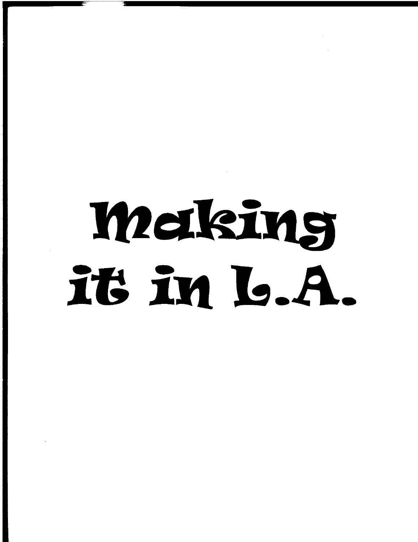## Making it in L.A.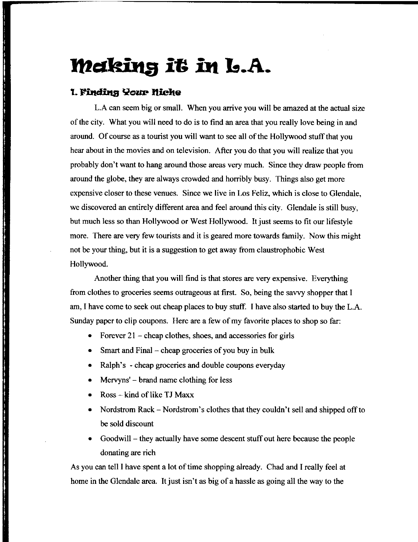## **11tQlking it in L.A.**

## **1. Finding Your Miche**

and a state of the company of the company of the company of the company of the company of the company of the c

a de l'article de l'article de l'article de l'article de l'article de l'article de l'article de l'article de l

L.A can seem big or small. When you arrive you will be amazed at the actual size of the city. What you will need to do is to find an area that you really love being in and around. Of course as a tourist you will want to see all of the Hollywood stuff that you hear about in the movies and on television. After you do that you will realize that you probably don't want to hang around those areas very much. Since they draw people from around the globe, they are always crowded and horribly busy. Things also get more expensive closer to these venues. Since we live in Los Feliz, which is close to Glendale, we discovered an entirely different area and feel around this city. Glendale is still busy, but much less so than Hollywood or West Hollywood. It just seems to fit our lifestyle more. There are very few tourists and it is geared more towards family. Now this might not be your thing, but it is a suggestion to get away from claustrophobic West Hollywood.

Another thing that you will find is that stores are very expensive. Everything from clothes to groceries seems outrageous at first. So, being the savvy shopper that I am, I have come to seek out cheap places to buy stuff. I have also started to buy the L.A. Sunday paper to clip coupons. Here are a few of my favorite places to shop so far:

- $\frac{1}{2}$  cheap clothes, shoes, and accessories for girls
- Smart and Final- cheap groceries of you buy in bulk
- Ralph's cheap groceries and double coupons everyday
- Mervyns' brand name clothing for less
- $R$ oss kind of like TJ Maxx
- Nordstrom Rack Nordstrom's clothes that they couldn't sell and shipped off to be sold discount
- Goodwill they actually have some descent stuff out here because the people donating are rich

As you can tell I have spent a lot of time shopping already. Chad and I really feel at home in the Glendale area. It just isn't as big of a hassle as going all the way to the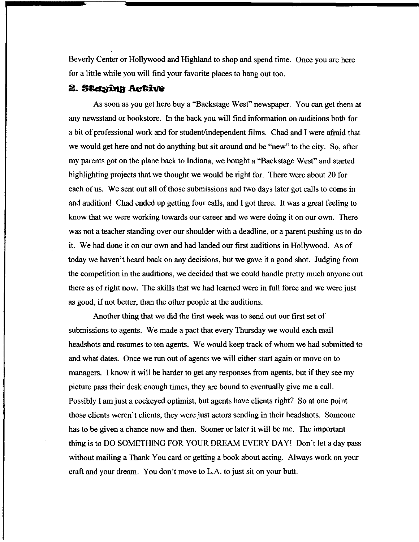Beverly Center or Hollywood and Highland to shop and spend time. Once you are here for a little while you will find your favorite places to hang out too.

## 2. Staying Active

As soon as you get here buy a "Backstage West" newspaper. You can get them at any newsstand or bookstore. In the back you will find information on auditions both for a bit of professional work and for student/independent films. Chad and I were afraid that we would get here and not do anything but sit around and be "new" to the city. So, after my parents got on the plane back to Indiana, we bought a "Backstage West" and started highlighting projects that we thought we would be right for. There were about 20 for each of us. We sent out all of those submissions and two days later got calls to come in and audition! Chad ended up getting four calls, and I got three. It was a great feeling to know that we were working towards our career and we were doing it on our own. There was not a teacher standing over our shoulder with a deadline, or a parent pushing us to do it. We had done it on our own and had landed our first auditions in Hollywood. As of today we haven't heard back on any decisions, but we gave it a good shot. Judging from the competition in the auditions, we decided that we could handle pretty much anyone out there as of right now. The skills that we had learned were in full force and we were just as good, if not better, than the other people at the auditions.

Another thing that we did the first week was to send out our first set of submissions to agents. We made a pact that every Thursday we would each mail headshots and resumes to ten agents. We would keep track of whom we had submitted to and what dates. Once we run out of agents we will either start again or move on to managers. I know it will be harder to get any responses from agents, but if they see my picture pass their desk enough times, they are bound to eventually give me a call. Possibly I am just a cockeyed optimist, but agents have clients right? So at one point those clients weren't clients, they were just actors sending in their headshots. Someone has to be given a chance now and then. Sooner or later it will be me. The important thing is to DO SOMETHING FOR YOUR DREAM EVERY DAY! Don't let a day pass without mailing a Thank You card or getting a book about acting. Always work on your craft and your dream. You don't move to L.A. to just sit on your butt.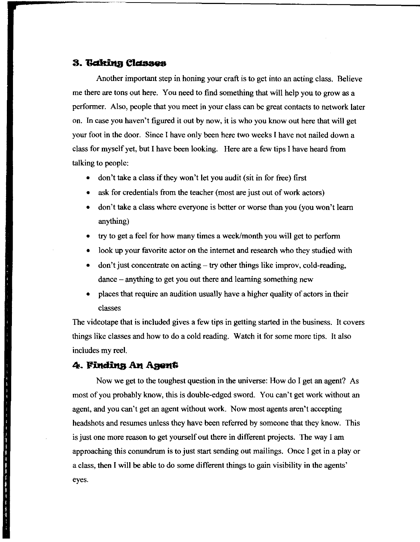### 3. Gaking Classes

Another important step in honing your craft is to get into an acting class. Believe me there are tons out here. You need to find something that will help you to grow as a performer. Also, people that you meet in your class can be great contacts to network later on. In case you haven't figured it out by now, it is who you know out here that will get your foot in the door. Since I have only been here two weeks I have not nailed down a class for myself yet, but I have been looking. Here are a few tips I have heard from talking to people:

- don't take a class if they won't let you audit (sit in for free) first
- ask for credentials from the teacher (most are just out of work actors)
- don't take a class where everyone is better or worse than you (you won't learn anything)
- try to get a feel for how many times a week/month you will get to perform
- look up your favorite actor on the internet and research who they studied with
- $\alpha$  don't just concentrate on acting  $-\alpha$  try other things like improv, cold-reading, dance - anything to get you out there and learning something new
- places that require an audition usually have a higher quality of actors in their classes

The videotape that is included gives a few tips in getting started in the business. It covers things like classes and how to do a cold reading. Watch it for some more tips. It also includes my reel.

## 4. Finding An Agent

 $\mathbf{r}$ 

ا بن الله الله الله عنه الله الله الله الله عليه الله عليه الله عليه الله عليه الله عليه الله عليه الله عليه ا<br>الله الله الله عليه الله عنه الله عليه الله عليه الله عليه الله عليه الله عليه الله عليه الله عليه الله عليه ا

Now we get to the toughest question in the universe: How do I get an agent? As most of you probably know, this is double-edged sword. You can't get work without an agent, and you can't get an agent without work. Now most agents aren't accepting headshots and resumes unless they have been referred by someone that they know. This is just one more reason to get yourself out there in different projects. The way I am approaching this conundrum is to just start sending out mailings. Once I get in a play or a class, then I will be able to do some different things to gain visibility in the agents' eyes.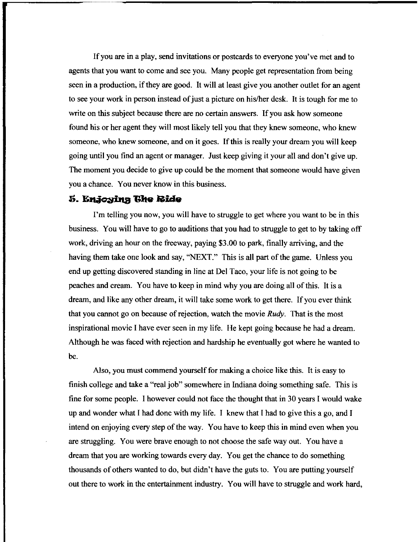If you are in a play, send invitations or postcards to everyone you've met and to agents that you want to come and see you. Many people get representation from being seen in a production, if they are good. It will at least give you another outlet for an agent to see your work in person instead of just a picture on hislher desk. It is tough for me to write on this subject because there are no certain answers. If you ask how someone found his or her agent they will most likely tell you that they knew someone, who knew someone, who knew someone, and on it goes. If this is really your dream you will keep going until you find an agent or manager. Just keep giving it your all and don't give up. The moment you decide to give up could be the moment that someone would have given you a chance. You never know in this business.

### **5. Enjoying The Ride**

I'm telling you now, you will have to struggle to get where you want to be in this business. You will have to go to auditions that you had to struggle to get to by taking off work, driving an hour on the freeway, paying \$3.00 to park, finally arriving, and the having them take one look and say, "NEXT." This is all part of the game. Unless you end up getting discovered standing in line at Del Taco, your life is not going to be peaches and cream. You have to keep in mind why you are doing all of this. It is a dream, and like any other dream, it will take some work to get there. If you ever think that you cannot go on because of rejection, watch the movie *Rudy.* That is the most inspirational movie I have ever seen in my life. He kept going because he had a dream. Although he was faced with rejection and hardship he eventually got where he wanted to be.

Also, you must commend yourself for making a choice like this. It is easy to finish college and take a "real job" somewhere in Indiana doing something safe. This is fine for some people. I however could not face the thought that in 30 years I would wake up and wonder what I had done with my life. I knew that I had to give this a go, and I intend on enjoying every step of the way. You have to keep this in mind even when you are struggling. You were brave enough to not choose the safe way out. You have a dream that you are working towards every day. You get the chance to do something thousands of others wanted to do, but didn't have the guts to. You are putting yourself out there to work in the entertainment industry. You will have to struggle and work hard,